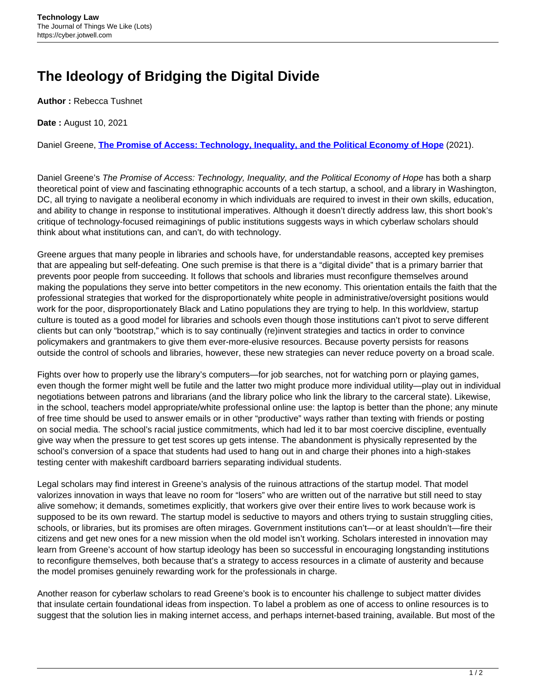## **The Ideology of Bridging the Digital Divide**

**Author :** Rebecca Tushnet

**Date :** August 10, 2021

Daniel Greene, **[The Promise of Access: Technology, Inequality, and the Political Economy of Hope](https://mitpress.mit.edu/books/promise-access)** (2021).

Daniel Greene's The Promise of Access: Technology, Inequality, and the Political Economy of Hope has both a sharp theoretical point of view and fascinating ethnographic accounts of a tech startup, a school, and a library in Washington, DC, all trying to navigate a neoliberal economy in which individuals are required to invest in their own skills, education, and ability to change in response to institutional imperatives. Although it doesn't directly address law, this short book's critique of technology-focused reimaginings of public institutions suggests ways in which cyberlaw scholars should think about what institutions can, and can't, do with technology.

Greene argues that many people in libraries and schools have, for understandable reasons, accepted key premises that are appealing but self-defeating. One such premise is that there is a "digital divide" that is a primary barrier that prevents poor people from succeeding. It follows that schools and libraries must reconfigure themselves around making the populations they serve into better competitors in the new economy. This orientation entails the faith that the professional strategies that worked for the disproportionately white people in administrative/oversight positions would work for the poor, disproportionately Black and Latino populations they are trying to help. In this worldview, startup culture is touted as a good model for libraries and schools even though those institutions can't pivot to serve different clients but can only "bootstrap," which is to say continually (re)invent strategies and tactics in order to convince policymakers and grantmakers to give them ever-more-elusive resources. Because poverty persists for reasons outside the control of schools and libraries, however, these new strategies can never reduce poverty on a broad scale.

Fights over how to properly use the library's computers—for job searches, not for watching porn or playing games, even though the former might well be futile and the latter two might produce more individual utility—play out in individual negotiations between patrons and librarians (and the library police who link the library to the carceral state). Likewise, in the school, teachers model appropriate/white professional online use: the laptop is better than the phone; any minute of free time should be used to answer emails or in other "productive" ways rather than texting with friends or posting on social media. The school's racial justice commitments, which had led it to bar most coercive discipline, eventually give way when the pressure to get test scores up gets intense. The abandonment is physically represented by the school's conversion of a space that students had used to hang out in and charge their phones into a high-stakes testing center with makeshift cardboard barriers separating individual students.

Legal scholars may find interest in Greene's analysis of the ruinous attractions of the startup model. That model valorizes innovation in ways that leave no room for "losers" who are written out of the narrative but still need to stay alive somehow; it demands, sometimes explicitly, that workers give over their entire lives to work because work is supposed to be its own reward. The startup model is seductive to mayors and others trying to sustain struggling cities, schools, or libraries, but its promises are often mirages. Government institutions can't—or at least shouldn't—fire their citizens and get new ones for a new mission when the old model isn't working. Scholars interested in innovation may learn from Greene's account of how startup ideology has been so successful in encouraging longstanding institutions to reconfigure themselves, both because that's a strategy to access resources in a climate of austerity and because the model promises genuinely rewarding work for the professionals in charge.

Another reason for cyberlaw scholars to read Greene's book is to encounter his challenge to subject matter divides that insulate certain foundational ideas from inspection. To label a problem as one of access to online resources is to suggest that the solution lies in making internet access, and perhaps internet-based training, available. But most of the